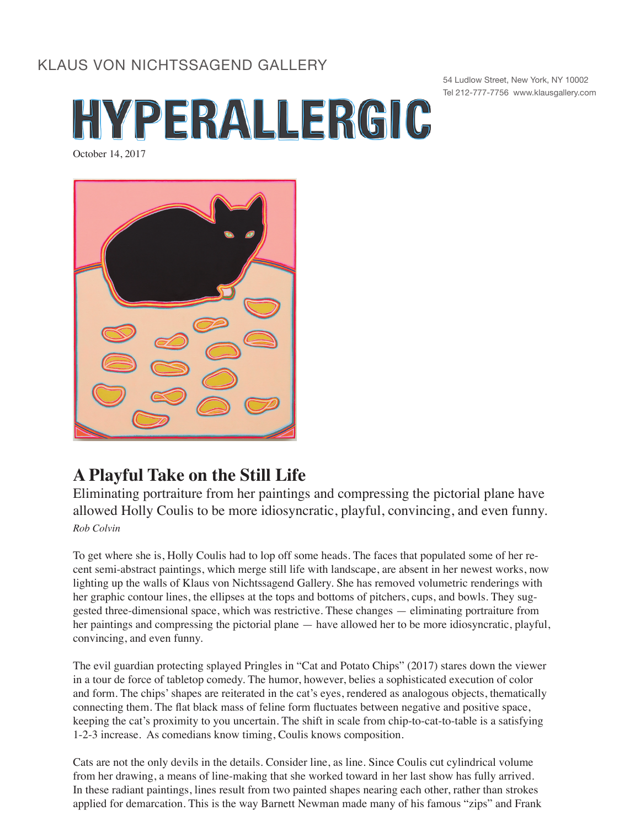## KLAUS VON NICHTSSAGEND GALLERY



54 Ludlow Street, New York, NY 10002 Tel 212-777-7756 www.klausgallery.com



## **A Playful Take on the Still Life**

Eliminating portraiture from her paintings and compressing the pictorial plane have allowed Holly Coulis to be more idiosyncratic, playful, convincing, and even funny. *Rob Colvin*

To get where she is, Holly Coulis had to lop off some heads. The faces that populated some of her recent semi-abstract paintings, which merge still life with landscape, are absent in her newest works, now lighting up the walls of Klaus von Nichtssagend Gallery. She has removed volumetric renderings with her graphic contour lines, the ellipses at the tops and bottoms of pitchers, cups, and bowls. They suggested three-dimensional space, which was restrictive. These changes — eliminating portraiture from her paintings and compressing the pictorial plane — have allowed her to be more idiosyncratic, playful, convincing, and even funny.

The evil guardian protecting splayed Pringles in "Cat and Potato Chips" (2017) stares down the viewer in a tour de force of tabletop comedy. The humor, however, belies a sophisticated execution of color and form. The chips' shapes are reiterated in the cat's eyes, rendered as analogous objects, thematically connecting them. The flat black mass of feline form fluctuates between negative and positive space, keeping the cat's proximity to you uncertain. The shift in scale from chip-to-cat-to-table is a satisfying 1-2-3 increase. As comedians know timing, Coulis knows composition.

Cats are not the only devils in the details. Consider line, as line. Since Coulis cut cylindrical volume from her drawing, a means of line-making that she worked toward in her last show has fully arrived. In these radiant paintings, lines result from two painted shapes nearing each other, rather than strokes applied for demarcation. This is the way Barnett Newman made many of his famous "zips" and Frank